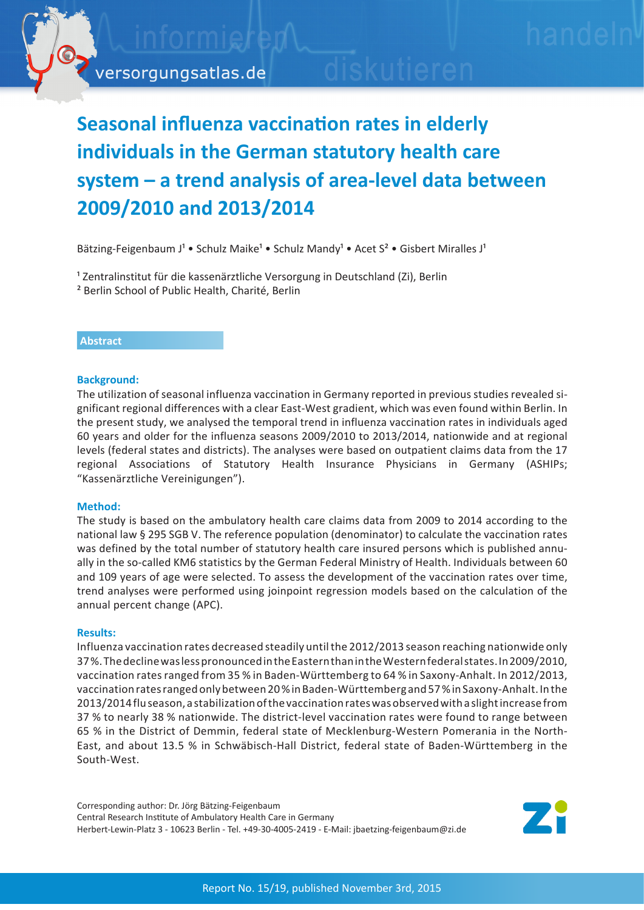# **Seasonal influenza vaccination rates in elderly individuals in the German statutory health care system – a trend analysis of area-level data between 2009/2010 and 2013/2014**

Bätzing-Feigenbaum J<sup>1</sup> • Schulz Maike<sup>1</sup> • Schulz Mandy<sup>1</sup> • Acet S<sup>2</sup> • Gisbert Miralles J<sup>1</sup>

<sup>1</sup> Zentralinstitut für die kassenärztliche Versorgung in Deutschland (Zi), Berlin ² Berlin School of Public Health, Charité, Berlin

# **Abstract**

# **Background:**

The utilization of seasonal influenza vaccination in Germany reported in previous studies revealed significant regional differences with a clear East-West gradient, which was even found within Berlin. In the present study, we analysed the temporal trend in influenza vaccination rates in individuals aged 60 years and older for the influenza seasons 2009/2010 to 2013/2014, nationwide and at regional levels (federal states and districts). The analyses were based on outpatient claims data from the 17 regional Associations of Statutory Health Insurance Physicians in Germany (ASHIPs; "Kassenärztliche Vereinigungen").

# **Method:**

The study is based on the ambulatory health care claims data from 2009 to 2014 according to the national law § 295 SGB V. The reference population (denominator) to calculate the vaccination rates was defined by the total number of statutory health care insured persons which is published annually in the so-called KM6 statistics by the German Federal Ministry of Health. Individuals between 60 and 109 years of age were selected. To assess the development of the vaccination rates over time, trend analyses were performed using joinpoint regression models based on the calculation of the annual percent change (APC).

#### **Results:**

Influenza vaccination rates decreased steadily until the 2012/2013 season reaching nationwide only 37 %. The decline was less pronounced in the Eastern than in the Western federal states. In 2009/2010, vaccination rates ranged from 35 % in Baden-Württemberg to 64 % in Saxony-Anhalt. In 2012/2013, vaccination rates ranged only between 20 % in Baden-Württemberg and 57 % in Saxony-Anhalt. In the 2013/2014 flu season, a stabilization of the vaccination rates was observed with a slight increase from 37 % to nearly 38 % nationwide. The district-level vaccination rates were found to range between 65 % in the District of Demmin, federal state of Mecklenburg-Western Pomerania in the North-East, and about 13.5 % in Schwäbisch-Hall District, federal state of Baden-Württemberg in the South-West.

Corresponding author: Dr. Jörg Bätzing-Feigenbaum Central Research Institute of Ambulatory Health Care in Germany Herbert-Lewin-Platz 3 - 10623 Berlin - Tel. +49-30-4005-2419 - E-Mail: jbaetzing-feigenbaum@zi.de